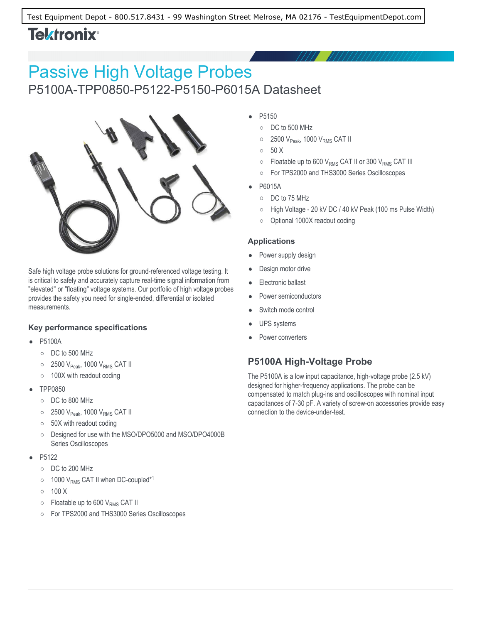# **Tektronix**<sup>®</sup>

# Passive High Voltage Probes P5100A-TPP0850-P5122-P5150-P6015A Datasheet



Safe high voltage probe solutions for ground-referenced voltage testing. It is critical to safely and accurately capture real-time signal information from "elevated" or "floating" voltage systems. Our portfolio of high voltage probes provides the safety you need for single-ended, differential or isolated measurements.

#### **Key performance specifications**

- P5100A  $\bullet$ 
	- DC to 500 MHz
	- 2500 V<sub>Peak</sub>, 1000 V<sub>RMS</sub> CAT II  $\circ$
	- o 100X with readout coding
- TPP0850
	- DC to 800 MHz
	- $\circ$  2500 V<sub>Peak</sub>, 1000 V<sub>RMS</sub> CAT II
	- $\circ$ 50X with readout coding
	- Designed for use with the MSO/DPO5000 and MSO/DPO4000B Series Oscilloscopes
- P5122
	- DC to 200 MHz
	- 1000 V<sub>RMS</sub> CAT II when DC-coupled<sup>\*1</sup>  $\circ$
	- $\circ$ 100 X
	- Floatable up to 600  $V<sub>RMS</sub>$  CAT II  $\circ$
	- For TPS2000 and THS3000 Series Oscilloscopes  $\circ$
- P5150
	- DC to 500 MHz
	- 2500 V<sub>Peak</sub>, 1000 V<sub>RMS</sub> CAT II  $\circ$
	- $\circ$ 50 X
	- Floatable up to 600  $V<sub>RMS</sub>$  CAT II or 300  $V<sub>RMS</sub>$  CAT III  $\circ$
	- For TPS2000 and THS3000 Series Oscilloscopes  $\circ$
- P6015A
	- $\circ$ DC to 75 MHz
	- $\circ$ High Voltage - 20 kV DC / 40 kV Peak (100 ms Pulse Width)
	- Optional 1000X readout coding  $\circ$

#### **Applications**

- Power supply design
- Design motor drive  $\bullet$
- Electronic ballast  $\bullet$
- Power semiconductors
- Switch mode control
- UPS systems
- Power converters

### **P5100A High-Voltage Probe**

The P5100A is a low input capacitance, high-voltage probe (2.5 kV) designed for higher-frequency applications. The probe can be compensated to match plug-ins and oscilloscopes with nominal input capacitances of 7-30 pF. A variety of screw-on accessories provide easy connection to the device-under-test.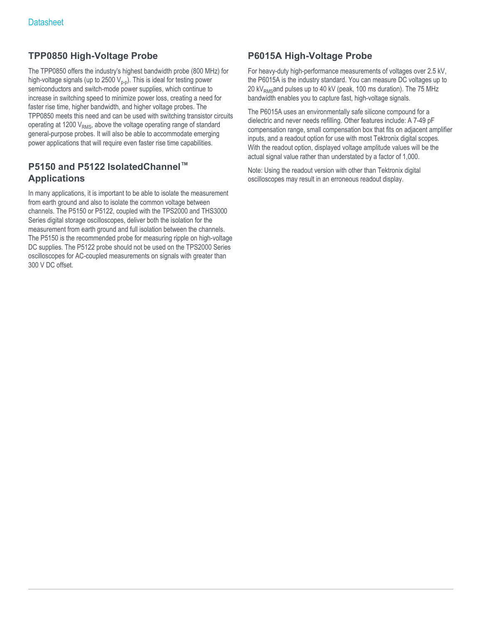### **TPP0850 High-Voltage Probe**

The TPP0850 offers the industry's highest bandwidth probe (800 MHz) for high-voltage signals (up to 2500  $V_{p-p}$ ). This is ideal for testing power semiconductors and switch-mode power supplies, which continue to increase in switching speed to minimize power loss, creating a need for faster rise time, higher bandwidth, and higher voltage probes. The TPP0850 meets this need and can be used with switching transistor circuits operating at 1200  $V<sub>RMS</sub>$ , above the voltage operating range of standard general-purpose probes. It will also be able to accommodate emerging power applications that will require even faster rise time capabilities.

#### **P5150 and P5122 IsolatedChannel™ Applications**

In many applications, it is important to be able to isolate the measurement from earth ground and also to isolate the common voltage between channels. The P5150 or P5122, coupled with the TPS2000 and THS3000 Series digital storage oscilloscopes, deliver both the isolation for the measurement from earth ground and full isolation between the channels. The P5150 is the recommended probe for measuring ripple on high-voltage DC supplies. The P5122 probe should not be used on the TPS2000 Series oscilloscopes for AC-coupled measurements on signals with greater than 300 V DC offset.

#### **P6015A High-Voltage Probe**

For heavy-duty high-performance measurements of voltages over 2.5 kV, the P6015A is the industry standard. You can measure DC voltages up to 20 kV<sub>RMS</sub>and pulses up to 40 kV (peak, 100 ms duration). The 75 MHz bandwidth enables you to capture fast, high-voltage signals.

The P6015A uses an environmentally safe silicone compound for a dielectric and never needs refilling. Other features include: A 7-49 pF compensation range, small compensation box that fits on adjacent amplifier inputs, and a readout option for use with most Tektronix digital scopes. With the readout option, displayed voltage amplitude values will be the actual signal value rather than understated by a factor of 1,000.

Note: Using the readout version with other than Tektronix digital oscilloscopes may result in an erroneous readout display.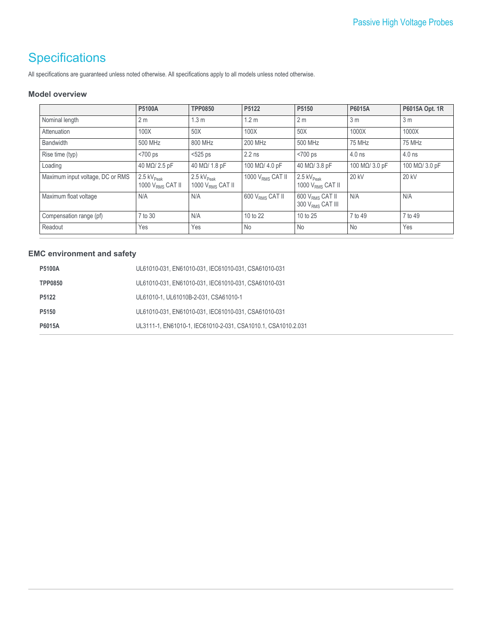## **Specifications**

All specifications are guaranteed unless noted otherwise. All specifications apply to all models unless noted otherwise.

#### **Model overview**

|                                  | P5100A                                                  | <b>TPP0850</b>                                          | P5122                        | P5150                                                   | P6015A         | P6015A Opt. 1R |
|----------------------------------|---------------------------------------------------------|---------------------------------------------------------|------------------------------|---------------------------------------------------------|----------------|----------------|
| Nominal length                   | 2 <sub>m</sub>                                          | 1.3 <sub>m</sub>                                        | 1.2 <sub>m</sub>             | 2 <sub>m</sub>                                          | 3 <sub>m</sub> | 3 <sub>m</sub> |
| Attenuation                      | 100X                                                    | 50X                                                     | 100X                         | 50X                                                     | 1000X          | 1000X          |
| <b>Bandwidth</b>                 | 500 MHz                                                 | 800 MHz                                                 | 200 MHz                      | 500 MHz                                                 | 75 MHz         | 75 MHz         |
| Rise time (typ)                  | $<700$ ps                                               | $<$ 525 ps                                              | $2.2$ ns                     | $<700$ ps                                               | $4.0$ ns       | $4.0$ ns       |
| Loading                          | 40 M $\Omega$ / 2.5 pF                                  | 40 M $\Omega$ / 1.8 pF                                  | 100 M $\Omega$ / 4.0 pF      | $40$ M $\Omega$ / 3.8 pF                                | 100 MΩ/ 3.0 pF | 100 MΩ/ 3.0 pF |
| Maximum input voltage, DC or RMS | $2.5 \text{ kV}_{\text{Peak}}$<br>1000 $V_{RMS}$ CAT II | $2.5 \text{ kV}_{\text{Peak}}$<br>1000 $V_{RMS}$ CAT II | 1000 V <sub>RMS</sub> CAT II | $2.5 \text{ kV}_{\text{Peak}}$<br>1000 $V_{RMS}$ CAT II | 20 kV          | 20 kV          |
| Maximum float voltage            | N/A                                                     | N/A                                                     | 600 V <sub>RMS</sub> CAT II  | $600 V_{RMS}$ CAT II<br>300 V <sub>RMS</sub> CAT III    | N/A            | N/A            |
| Compensation range (pf)          | 7 to 30                                                 | N/A                                                     | 10 to 22                     | 10 to 25                                                | 7 to 49        | 7 to 49        |
| Readout                          | Yes                                                     | Yes                                                     | <b>No</b>                    | No                                                      | No             | Yes            |

#### **EMC environment and safety**

| <b>P5100A</b>     | UL61010-031, EN61010-031, IEC61010-031, CSA61010-031          |
|-------------------|---------------------------------------------------------------|
| <b>TPP0850</b>    | UL61010-031, EN61010-031, IEC61010-031, CSA61010-031          |
| P5122             | UL61010-1, UL61010B-2-031, CSA61010-1                         |
| P <sub>5150</sub> | UL61010-031, EN61010-031, IEC61010-031, CSA61010-031          |
| P6015A            | UL3111-1, EN61010-1, IEC61010-2-031, CSA1010.1, CSA1010.2.031 |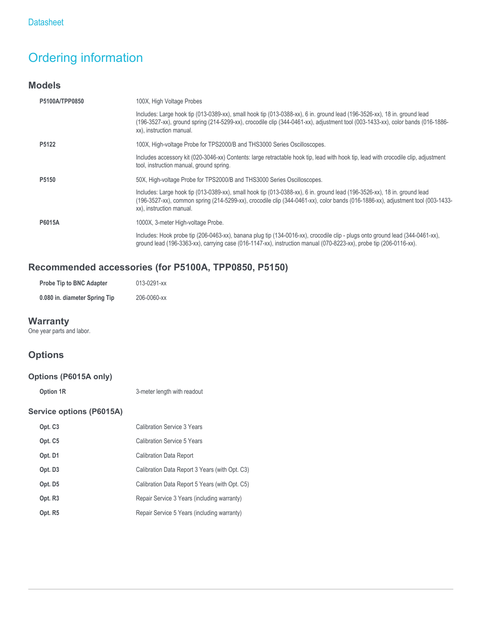## Ordering information

#### **Models**

| P5100A/TPP0850    | 100X, High Voltage Probes                                                                                                                                                                                                                                                                |
|-------------------|------------------------------------------------------------------------------------------------------------------------------------------------------------------------------------------------------------------------------------------------------------------------------------------|
|                   | Includes: Large hook tip (013-0389-xx), small hook tip (013-0388-xx), 6 in. ground lead (196-3526-xx), 18 in. ground lead<br>(196-3527-xx), ground spring (214-5299-xx), crocodile clip (344-0461-xx), adjustment tool (003-1433-xx), color bands (016-1886-<br>xx), instruction manual. |
| P5122             | 100X, High-voltage Probe for TPS2000/B and THS3000 Series Oscilloscopes.                                                                                                                                                                                                                 |
|                   | Includes accessory kit (020-3046-xx) Contents: large retractable hook tip, lead with hook tip, lead with crocodile clip, adjustment<br>tool, instruction manual, ground spring.                                                                                                          |
| P <sub>5150</sub> | 50X, High-voltage Probe for TPS2000/B and THS3000 Series Oscilloscopes.                                                                                                                                                                                                                  |
|                   | Includes: Large hook tip (013-0389-xx), small hook tip (013-0388-xx), 6 in. ground lead (196-3526-xx), 18 in. ground lead<br>(196-3527-xx), common spring (214-5299-xx), crocodile clip (344-0461-xx), color bands (016-1886-xx), adjustment tool (003-1433-<br>xx), instruction manual. |
| P6015A            | 1000X, 3-meter High-voltage Probe.                                                                                                                                                                                                                                                       |
|                   | Includes: Hook probe tip (206-0463-xx), banana plug tip (134-0016-xx), crocodile clip - plugs onto ground lead (344-0461-xx),<br>ground lead (196-3363-xx), carrying case (016-1147-xx), instruction manual (070-8223-xx), probe tip (206-0116-xx).                                      |

## **Recommended accessories (for P5100A, TPP0850, P5150)**

| <b>Probe Tip to BNC Adapter</b> | 013-0291-xx |  |
|---------------------------------|-------------|--|
| 0.080 in. diameter Spring Tip   | 206-0060-xx |  |

#### **Warranty**

One year parts and labor.

#### **Options**

| Options (P6015A only)    |                                                |
|--------------------------|------------------------------------------------|
| <b>Option 1R</b>         | 3-meter length with readout                    |
| Service options (P6015A) |                                                |
| Opt. C <sub>3</sub>      | Calibration Service 3 Years                    |
| Opt. C5                  | Calibration Service 5 Years                    |
| Opt. D1                  | <b>Calibration Data Report</b>                 |
| Opt. D <sub>3</sub>      | Calibration Data Report 3 Years (with Opt. C3) |
| Opt. D5                  | Calibration Data Report 5 Years (with Opt. C5) |
| Opt. R <sub>3</sub>      | Repair Service 3 Years (including warranty)    |
| Opt. R5                  | Repair Service 5 Years (including warranty)    |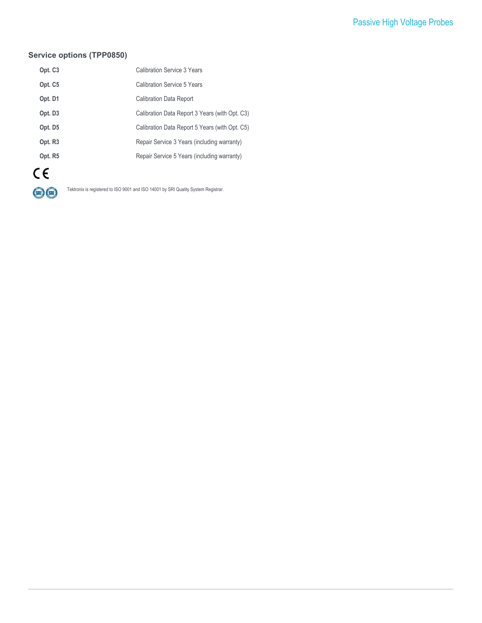## Passive High Voltage Probes

#### **Service options (TPP0850)**

| Opt. C <sub>3</sub> | <b>Calibration Service 3 Years</b>                                                 |
|---------------------|------------------------------------------------------------------------------------|
| Opt. C <sub>5</sub> | Calibration Service 5 Years                                                        |
| Opt. D1             | <b>Calibration Data Report</b>                                                     |
| Opt. D <sub>3</sub> | Calibration Data Report 3 Years (with Opt. C3)                                     |
| Opt. D5             | Calibration Data Report 5 Years (with Opt. C5)                                     |
| Opt. R <sub>3</sub> | Repair Service 3 Years (including warranty)                                        |
| Opt. R5             | Repair Service 5 Years (including warranty)                                        |
| CE                  |                                                                                    |
| SRI                 | Tektronix is registered to ISO 9001 and ISO 14001 by SRI Quality System Registrar. |